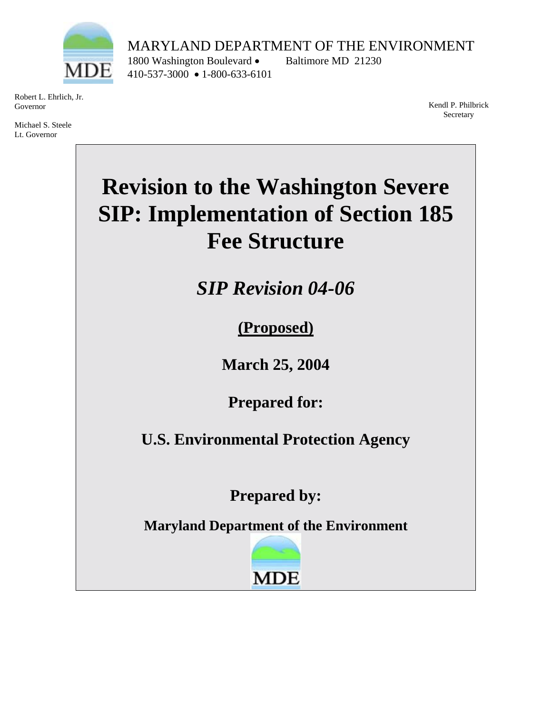

Robert L. Ehrlich, Jr. Governor

Michael S. Steele Lt. Governor

MARYLAND DEPARTMENT OF THE ENVIRONMENT 1800 Washington Boulevard • Baltimore MD 21230 410-537-3000 • 1-800-633-6101

> Kendl P. Philbrick Secretary

# **Revision to the Washington Severe SIP: Implementation of Section 185 Fee Structure**

*SIP Revision 04-06* 

**(Proposed)**

**March 25, 2004** 

**Prepared for:** 

**U.S. Environmental Protection Agency** 

**Prepared by:** 

**Maryland Department of the Environment** 

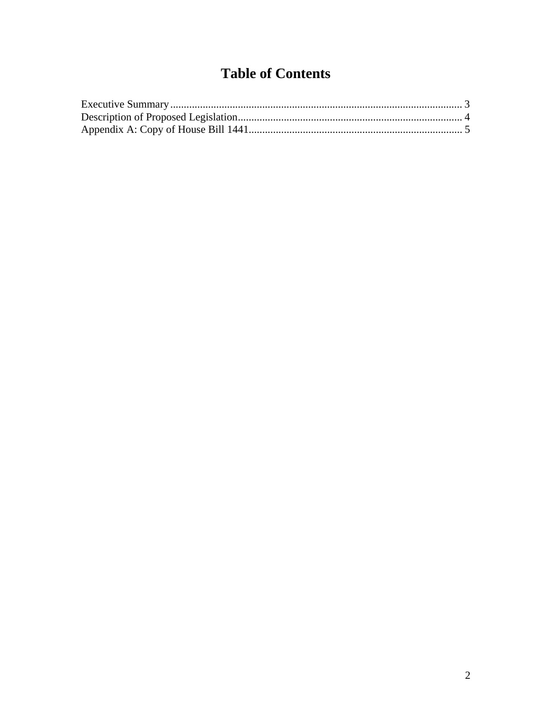## **Table of Contents**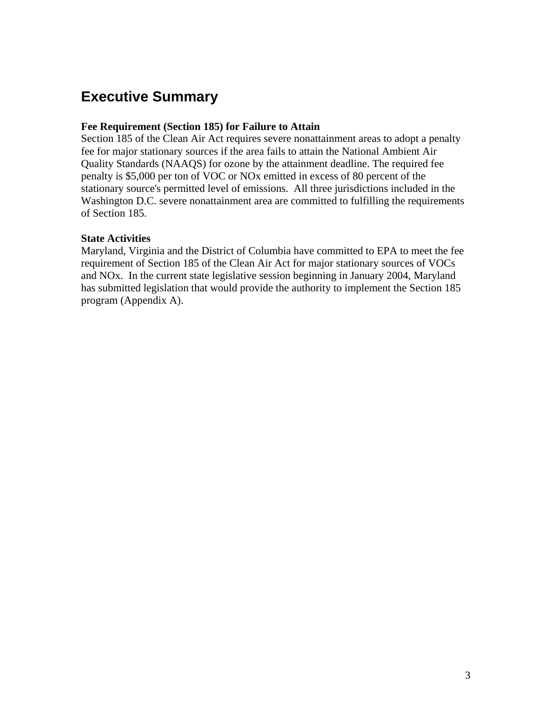### <span id="page-2-0"></span>**Executive Summary**

#### **Fee Requirement (Section 185) for Failure to Attain**

Section 185 of the Clean Air Act requires severe nonattainment areas to adopt a penalty fee for major stationary sources if the area fails to attain the National Ambient Air Quality Standards (NAAQS) for ozone by the attainment deadline. The required fee penalty is \$5,000 per ton of VOC or NOx emitted in excess of 80 percent of the stationary source's permitted level of emissions. All three jurisdictions included in the Washington D.C. severe nonattainment area are committed to fulfilling the requirements of Section 185.

#### **State Activities**

Maryland, Virginia and the District of Columbia have committed to EPA to meet the fee requirement of Section 185 of the Clean Air Act for major stationary sources of VOCs and NOx. In the current state legislative session beginning in January 2004, Maryland has submitted legislation that would provide the authority to implement the Section 185 program (Appendix A).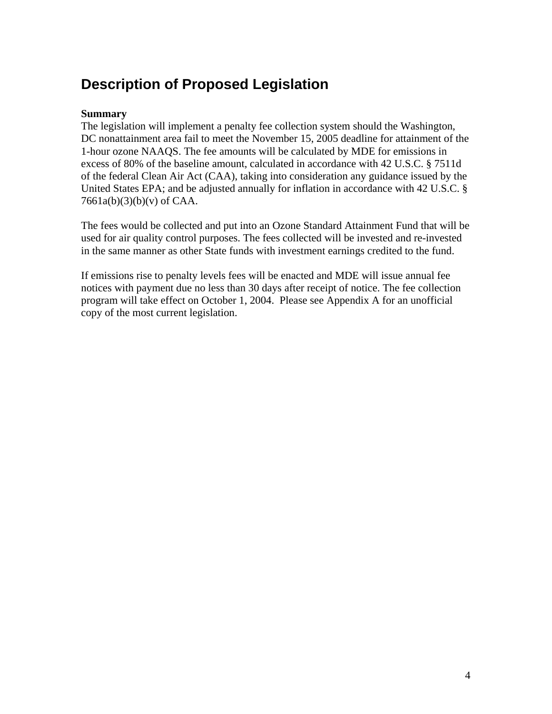### <span id="page-3-0"></span>**Description of Proposed Legislation**

### **Summary**

The legislation will implement a penalty fee collection system should the Washington, DC nonattainment area fail to meet the November 15, 2005 deadline for attainment of the 1-hour ozone NAAQS. The fee amounts will be calculated by MDE for emissions in excess of 80% of the baseline amount, calculated in accordance with 42 U.S.C. § 7511d of the federal Clean Air Act (CAA), taking into consideration any guidance issued by the United States EPA; and be adjusted annually for inflation in accordance with 42 U.S.C. §  $7661a(b)(3)(b)(v)$  of CAA.

The fees would be collected and put into an Ozone Standard Attainment Fund that will be used for air quality control purposes. The fees collected will be invested and re-invested in the same manner as other State funds with investment earnings credited to the fund.

If emissions rise to penalty levels fees will be enacted and MDE will issue annual fee notices with payment due no less than 30 days after receipt of notice. The fee collection program will take effect on October 1, 2004. Please see Appendix A for an unofficial copy of the most current legislation.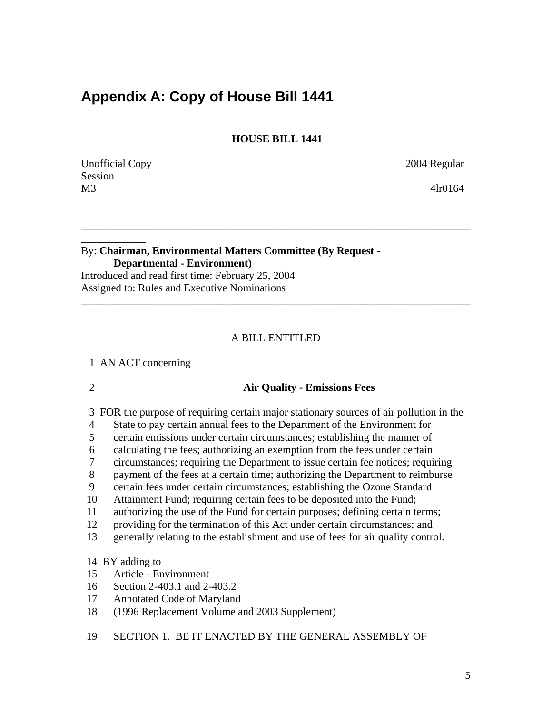### <span id="page-4-0"></span>**Appendix A: Copy of House Bill 1441**

 **HOUSE BILL 1441** 

\_\_\_\_\_\_\_\_\_\_\_\_\_\_\_\_\_\_\_\_\_\_\_\_\_\_\_\_\_\_\_\_\_\_\_\_\_\_\_\_\_\_\_\_\_\_\_\_\_\_\_\_\_\_\_\_\_\_\_\_\_\_\_\_\_\_\_\_\_\_\_\_

Unofficial Copy 2004 Regular Session M3 4lr0164

\_\_\_\_\_\_\_\_\_\_\_\_

\_\_\_\_\_\_\_\_\_\_\_\_\_

### By: **Chairman, Environmental Matters Committee (By Request - Departmental - Environment)**  Introduced and read first time: February 25, 2004

Assigned to: Rules and Executive Nominations

### A BILL ENTITLED

\_\_\_\_\_\_\_\_\_\_\_\_\_\_\_\_\_\_\_\_\_\_\_\_\_\_\_\_\_\_\_\_\_\_\_\_\_\_\_\_\_\_\_\_\_\_\_\_\_\_\_\_\_\_\_\_\_\_\_\_\_\_\_\_\_\_\_\_\_\_\_\_

1 AN ACT concerning

### 2 **Air Quality - Emissions Fees**

- 3 FOR the purpose of requiring certain major stationary sources of air pollution in the
- 4 State to pay certain annual fees to the Department of the Environment for
- 5 certain emissions under certain circumstances; establishing the manner of
- 6 calculating the fees; authorizing an exemption from the fees under certain
- 7 circumstances; requiring the Department to issue certain fee notices; requiring
- 8 payment of the fees at a certain time; authorizing the Department to reimburse
- 9 certain fees under certain circumstances; establishing the Ozone Standard
- 10 Attainment Fund; requiring certain fees to be deposited into the Fund;
- 11 authorizing the use of the Fund for certain purposes; defining certain terms;
- 12 providing for the termination of this Act under certain circumstances; and
- 13 generally relating to the establishment and use of fees for air quality control.

### 14 BY adding to

- 15 Article Environment
- 16 Section 2-403.1 and 2-403.2
- 17 Annotated Code of Maryland
- 18 (1996 Replacement Volume and 2003 Supplement)
- 19 SECTION 1. BE IT ENACTED BY THE GENERAL ASSEMBLY OF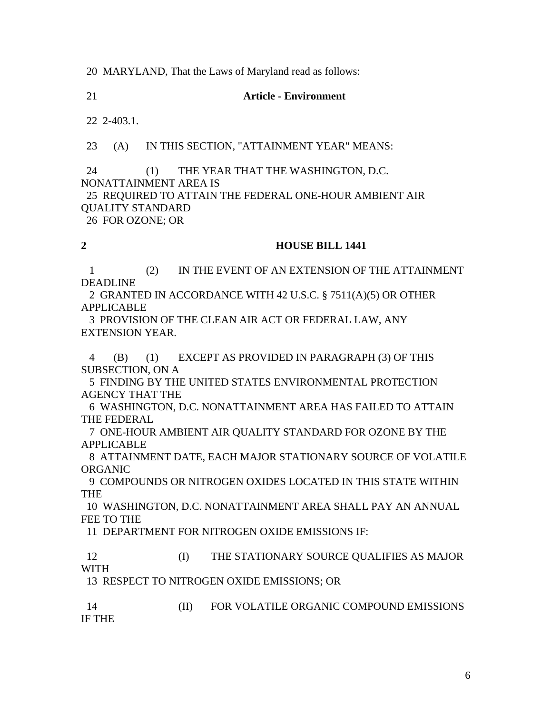20 MARYLAND, That the Laws of Maryland read as follows:

21 **Article - Environment** 

22 2-403.1.

23 (A) IN THIS SECTION, "ATTAINMENT YEAR" MEANS:

 24 (1) THE YEAR THAT THE WASHINGTON, D.C. NONATTAINMENT AREA IS 25 REQUIRED TO ATTAIN THE FEDERAL ONE-HOUR AMBIENT AIR QUALITY STANDARD

26 FOR OZONE; OR

#### **2 HOUSE BILL 1441**

 1 (2) IN THE EVENT OF AN EXTENSION OF THE ATTAINMENT DEADLINE

 2 GRANTED IN ACCORDANCE WITH 42 U.S.C. § 7511(A)(5) OR OTHER APPLICABLE

 3 PROVISION OF THE CLEAN AIR ACT OR FEDERAL LAW, ANY EXTENSION YEAR.

 4 (B) (1) EXCEPT AS PROVIDED IN PARAGRAPH (3) OF THIS SUBSECTION, ON A

 5 FINDING BY THE UNITED STATES ENVIRONMENTAL PROTECTION AGENCY THAT THE

 6 WASHINGTON, D.C. NONATTAINMENT AREA HAS FAILED TO ATTAIN THE FEDERAL

 7 ONE-HOUR AMBIENT AIR QUALITY STANDARD FOR OZONE BY THE APPLICABLE

 8 ATTAINMENT DATE, EACH MAJOR STATIONARY SOURCE OF VOLATILE ORGANIC

 9 COMPOUNDS OR NITROGEN OXIDES LOCATED IN THIS STATE WITHIN THE

 10 WASHINGTON, D.C. NONATTAINMENT AREA SHALL PAY AN ANNUAL FEE TO THE

11 DEPARTMENT FOR NITROGEN OXIDE EMISSIONS IF:

12 **IDED THE STATIONARY SOURCE QUALIFIES AS MAJOR** WITH

13 RESPECT TO NITROGEN OXIDE EMISSIONS; OR

 14 (II) FOR VOLATILE ORGANIC COMPOUND EMISSIONS IF THE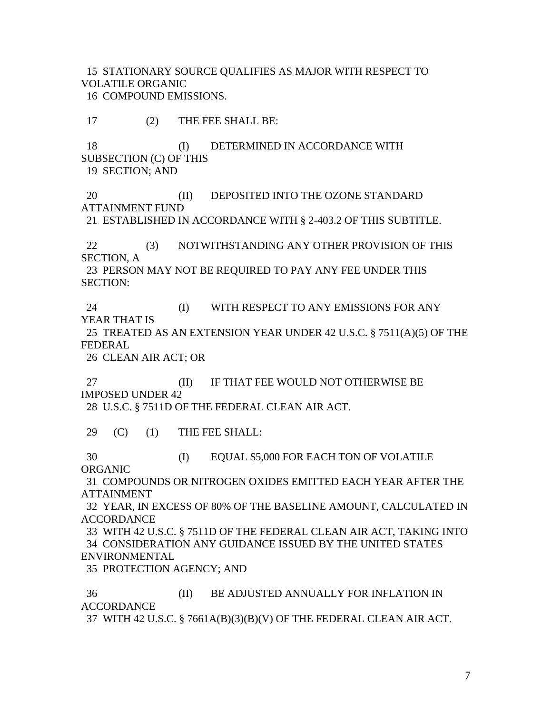15 STATIONARY SOURCE QUALIFIES AS MAJOR WITH RESPECT TO VOLATILE ORGANIC

16 COMPOUND EMISSIONS.

17 (2) THE FEE SHALL BE:

18 (I) DETERMINED IN ACCORDANCE WITH SUBSECTION (C) OF THIS

19 SECTION; AND

20 **(II)** DEPOSITED INTO THE OZONE STANDARD ATTAINMENT FUND

21 ESTABLISHED IN ACCORDANCE WITH § 2-403.2 OF THIS SUBTITLE.

 22 (3) NOTWITHSTANDING ANY OTHER PROVISION OF THIS SECTION, A

 23 PERSON MAY NOT BE REQUIRED TO PAY ANY FEE UNDER THIS SECTION:

24 (I) WITH RESPECT TO ANY EMISSIONS FOR ANY YEAR THAT IS

 25 TREATED AS AN EXTENSION YEAR UNDER 42 U.S.C. § 7511(A)(5) OF THE FEDERAL

26 CLEAN AIR ACT; OR

27 **IF THAT FEE WOULD NOT OTHERWISE BE** IMPOSED UNDER 42

28 U.S.C. § 7511D OF THE FEDERAL CLEAN AIR ACT.

29 (C) (1) THE FEE SHALL:

 30 (I) EQUAL \$5,000 FOR EACH TON OF VOLATILE ORGANIC

 31 COMPOUNDS OR NITROGEN OXIDES EMITTED EACH YEAR AFTER THE ATTAINMENT

 32 YEAR, IN EXCESS OF 80% OF THE BASELINE AMOUNT, CALCULATED IN ACCORDANCE

 33 WITH 42 U.S.C. § 7511D OF THE FEDERAL CLEAN AIR ACT, TAKING INTO 34 CONSIDERATION ANY GUIDANCE ISSUED BY THE UNITED STATES ENVIRONMENTAL

35 PROTECTION AGENCY; AND

 36 (II) BE ADJUSTED ANNUALLY FOR INFLATION IN **ACCORDANCE** 

37 WITH 42 U.S.C. § 7661A(B)(3)(B)(V) OF THE FEDERAL CLEAN AIR ACT.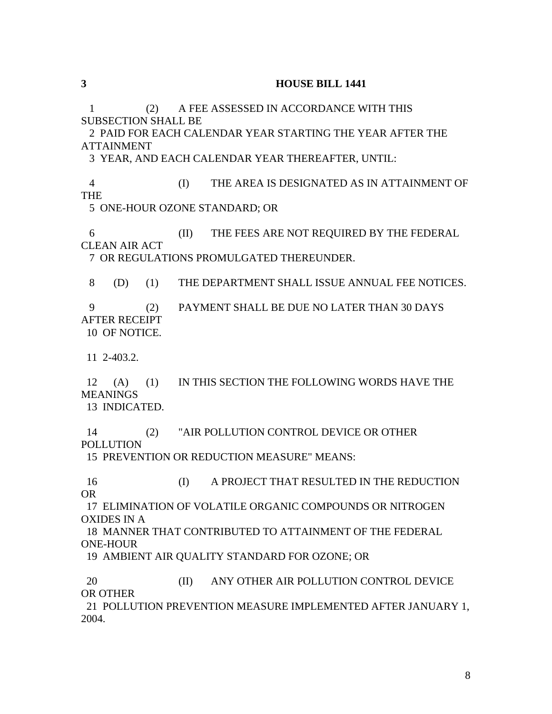1 (2) A FEE ASSESSED IN ACCORDANCE WITH THIS SUBSECTION SHALL BE

 2 PAID FOR EACH CALENDAR YEAR STARTING THE YEAR AFTER THE ATTAINMENT

3 YEAR, AND EACH CALENDAR YEAR THEREAFTER, UNTIL:

 4 (I) THE AREA IS DESIGNATED AS IN ATTAINMENT OF THE

5 ONE-HOUR OZONE STANDARD; OR

 6 (II) THE FEES ARE NOT REQUIRED BY THE FEDERAL CLEAN AIR ACT

7 OR REGULATIONS PROMULGATED THEREUNDER.

8 (D) (1) THE DEPARTMENT SHALL ISSUE ANNUAL FEE NOTICES.

 9 (2) PAYMENT SHALL BE DUE NO LATER THAN 30 DAYS AFTER RECEIPT

10 OF NOTICE.

11 2-403.2.

 12 (A) (1) IN THIS SECTION THE FOLLOWING WORDS HAVE THE MEANINGS

13 INDICATED.

 14 (2) "AIR POLLUTION CONTROL DEVICE OR OTHER POLLUTION

15 PREVENTION OR REDUCTION MEASURE" MEANS:

 16 (I) A PROJECT THAT RESULTED IN THE REDUCTION OR

 17 ELIMINATION OF VOLATILE ORGANIC COMPOUNDS OR NITROGEN OXIDES IN A

 18 MANNER THAT CONTRIBUTED TO ATTAINMENT OF THE FEDERAL ONE-HOUR

19 AMBIENT AIR QUALITY STANDARD FOR OZONE; OR

20 **(II)** ANY OTHER AIR POLLUTION CONTROL DEVICE OR OTHER

 21 POLLUTION PREVENTION MEASURE IMPLEMENTED AFTER JANUARY 1, 2004.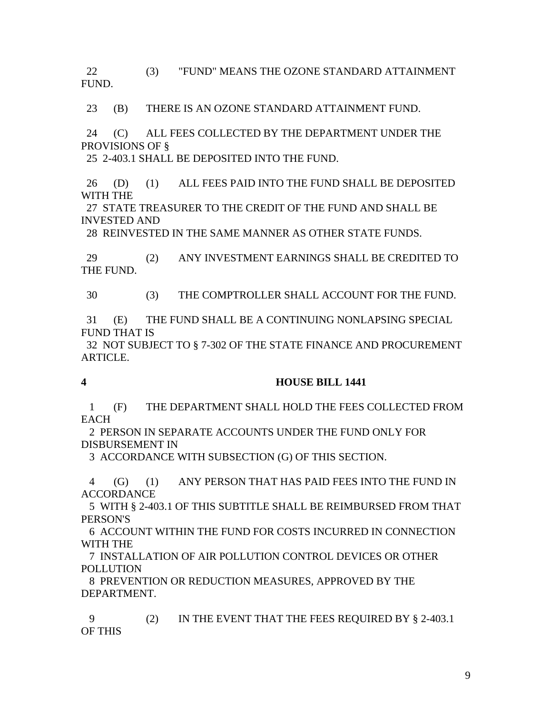22 (3) "FUND" MEANS THE OZONE STANDARD ATTAINMENT FUND.

23 (B) THERE IS AN OZONE STANDARD ATTAINMENT FUND.

 24 (C) ALL FEES COLLECTED BY THE DEPARTMENT UNDER THE PROVISIONS OF §

25 2-403.1 SHALL BE DEPOSITED INTO THE FUND.

 26 (D) (1) ALL FEES PAID INTO THE FUND SHALL BE DEPOSITED WITH THE

 27 STATE TREASURER TO THE CREDIT OF THE FUND AND SHALL BE INVESTED AND

28 REINVESTED IN THE SAME MANNER AS OTHER STATE FUNDS.

 29 (2) ANY INVESTMENT EARNINGS SHALL BE CREDITED TO THE FUND.

30 (3) THE COMPTROLLER SHALL ACCOUNT FOR THE FUND.

 31 (E) THE FUND SHALL BE A CONTINUING NONLAPSING SPECIAL FUND THAT IS

 32 NOT SUBJECT TO § 7-302 OF THE STATE FINANCE AND PROCUREMENT ARTICLE.

### **4 HOUSE BILL 1441**

 1 (F) THE DEPARTMENT SHALL HOLD THE FEES COLLECTED FROM **EACH** 

 2 PERSON IN SEPARATE ACCOUNTS UNDER THE FUND ONLY FOR DISBURSEMENT IN

3 ACCORDANCE WITH SUBSECTION (G) OF THIS SECTION.

 4 (G) (1) ANY PERSON THAT HAS PAID FEES INTO THE FUND IN ACCORDANCE

 5 WITH § 2-403.1 OF THIS SUBTITLE SHALL BE REIMBURSED FROM THAT PERSON'S

 6 ACCOUNT WITHIN THE FUND FOR COSTS INCURRED IN CONNECTION WITH THE

 7 INSTALLATION OF AIR POLLUTION CONTROL DEVICES OR OTHER POLLUTION

 8 PREVENTION OR REDUCTION MEASURES, APPROVED BY THE DEPARTMENT.

 9 (2) IN THE EVENT THAT THE FEES REQUIRED BY § 2-403.1 OF THIS